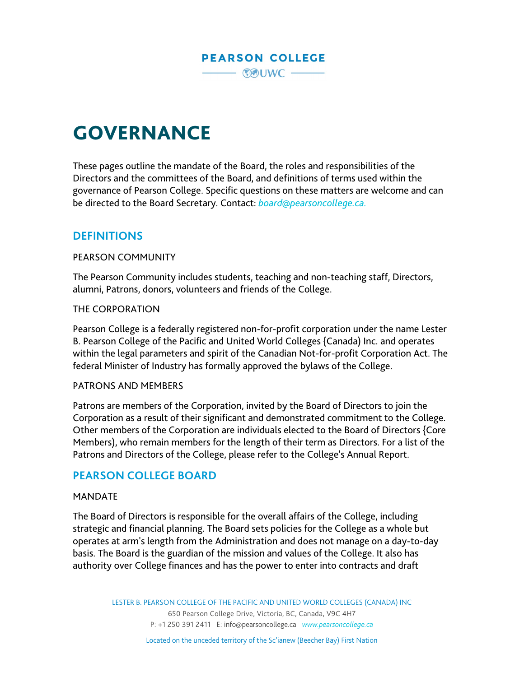

# GOVERNANCE

These pages outline the mandate of the Board, the roles and responsibilities of the Directors and the committees of the Board, and definitions of terms used within the governance of Pearson College. Specific questions on these matters are welcome and can be directed to the Board Secretary. Contact: *[board@pearsoncollege.ca.](mailto:board@pearsoncollege.ca)*

## **DEFINITIONS**

#### PEARSON COMMUNITY

The Pearson Community includes students, teaching and non-teaching staff, Directors, alumni, Patrons, donors, volunteers and friends of the College.

#### THE CORPORATION

Pearson College is a federally registered non-for-profit corporation under the name Lester B. Pearson College of the Pacific and United World Colleges {Canada) Inc. and operates within the legal parameters and spirit of the Canadian Not-for-profit Corporation Act. The federal Minister of Industry has formally approved the bylaws of the College.

#### PATRONS AND MEMBERS

Patrons are members of the Corporation, invited by the Board of Directors to join the Corporation as a result of their significant and demonstrated commitment to the College. Other members of the Corporation are individuals elected to the Board of Directors {Core Members), who remain members for the length of their term as Directors. For a list of the Patrons and Directors of the College, please refer to the College's Annual Report.

## **PEARSON COLLEGE BOARD**

#### MANDATE

The Board of Directors is responsible for the overall affairs of the College, including strategic and financial planning. The Board sets policies for the College as a whole but operates at arm's length from the Administration and does not manage on a day-to-day basis. The Board is the guardian of the mission and values of the College. It also has authority over College finances and has the power to enter into contracts and draft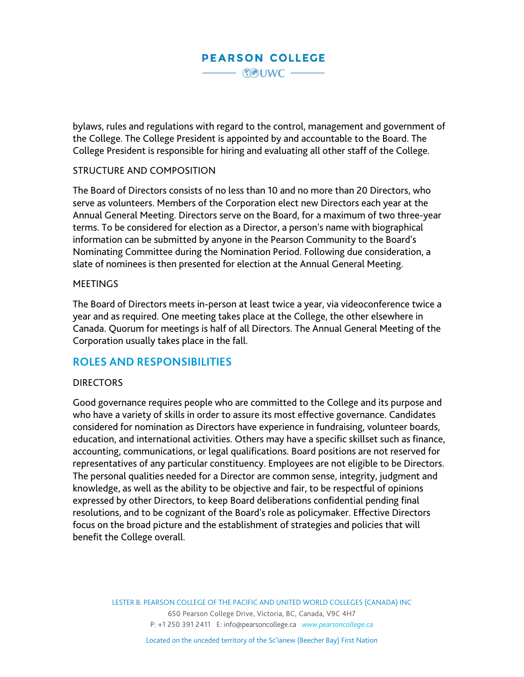bylaws, rules and regulations with regard to the control, management and government of the College. The College President is appointed by and accountable to the Board. The College President is responsible for hiring and evaluating all other staff of the College.

#### STRUCTURE AND COMPOSITION

The Board of Directors consists of no less than 10 and no more than 20 Directors, who serve as volunteers. Members of the Corporation elect new Directors each year at the Annual General Meeting. Directors serve on the Board, for a maximum of two three-year terms. To be considered for election as a Director, a person's name with biographical information can be submitted by anyone in the Pearson Community to the Board's Nominating Committee during the Nomination Period. Following due consideration, a slate of nominees is then presented for election at the Annual General Meeting.

#### **MEETINGS**

The Board of Directors meets in-person at least twice a year, via videoconference twice a year and as required. One meeting takes place at the College, the other elsewhere in Canada. Quorum for meetings is half of all Directors. The Annual General Meeting of the Corporation usually takes place in the fall.

### **ROLES AND RESPONSIBILITIES**

#### **DIRECTORS**

Good governance requires people who are committed to the College and its purpose and who have a variety of skills in order to assure its most effective governance. Candidates considered for nomination as Directors have experience in fundraising, volunteer boards, education, and international activities. Others may have a specific skillset such as finance, accounting, communications, or legal qualifications. Board positions are not reserved for representatives of any particular constituency. Employees are not eligible to be Directors. The personal qualities needed for a Director are common sense, integrity, judgment and knowledge, as well as the ability to be objective and fair, to be respectful of opinions expressed by other Directors, to keep Board deliberations confidential pending final resolutions, and to be cognizant of the Board's role as policymaker. Effective Directors focus on the broad picture and the establishment of strategies and policies that will benefit the College overall.

> LESTER B. PEARSON COLLEGE OF THE PACIFIC AND UNITED WORLD COLLEGES (CANADA) INC 650 Pearson College Drive, Victoria, BC, Canada, V9C 4H7 P: +1 250 391 2411 E: [info@pearsoncollege.ca](mailto:info@pearsoncollege.ca) *[www.pearsoncollege.ca](http://www.pearsoncollege.ca/)*

> > Located on the unceded territory of the Sc'ianew (Beecher Bay) First Nation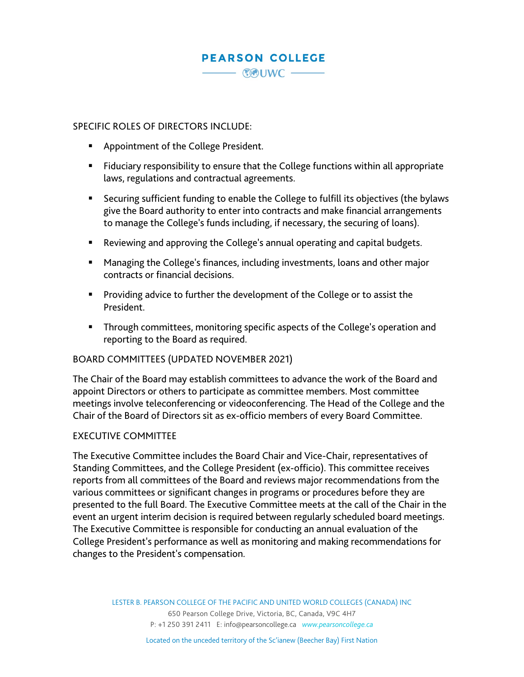#### SPECIFIC ROLES OF DIRECTORS INCLUDE:

- **Appointment of the College President.**
- Fiduciary responsibility to ensure that the College functions within all appropriate laws, regulations and contractual agreements.
- Securing sufficient funding to enable the College to fulfill its objectives (the bylaws give the Board authority to enter into contracts and make financial arrangements to manage the College's funds including, if necessary, the securing of loans).
- Reviewing and approving the College's annual operating and capital budgets.
- Managing the College's finances, including investments, loans and other major contracts or financial decisions.
- **Providing advice to further the development of the College or to assist the** President.
- **Through committees, monitoring specific aspects of the College's operation and** reporting to the Board as required.

#### BOARD COMMITTEES (UPDATED NOVEMBER 2021)

The Chair of the Board may establish committees to advance the work of the Board and appoint Directors or others to participate as committee members. Most committee meetings involve teleconferencing or videoconferencing. The Head of the College and the Chair of the Board of Directors sit as ex-officio members of every Board Committee.

#### EXECUTIVE COMMITTEE

The Executive Committee includes the Board Chair and Vice-Chair, representatives of Standing Committees, and the College President (ex-officio). This committee receives reports from all committees of the Board and reviews major recommendations from the various committees or significant changes in programs or procedures before they are presented to the full Board. The Executive Committee meets at the call of the Chair in the event an urgent interim decision is required between regularly scheduled board meetings. The Executive Committee is responsible for conducting an annual evaluation of the College President's performance as well as monitoring and making recommendations for changes to the President's compensation.

> LESTER B. PEARSON COLLEGE OF THE PACIFIC AND UNITED WORLD COLLEGES (CANADA) INC 650 Pearson College Drive, Victoria, BC, Canada, V9C 4H7 P: +1 250 391 2411 E: [info@pearsoncollege.ca](mailto:info@pearsoncollege.ca) *[www.pearsoncollege.ca](http://www.pearsoncollege.ca/)*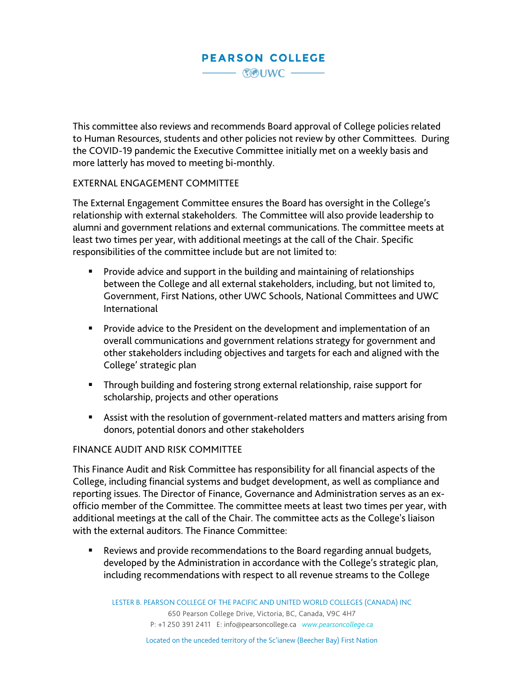This committee also reviews and recommends Board approval of College policies related to Human Resources, students and other policies not review by other Committees. During the COVID-19 pandemic the Executive Committee initially met on a weekly basis and more latterly has moved to meeting bi-monthly.

#### EXTERNAL ENGAGEMENT COMMITTEE

The External Engagement Committee ensures the Board has oversight in the College's relationship with external stakeholders. The Committee will also provide leadership to alumni and government relations and external communications. The committee meets at least two times per year, with additional meetings at the call of the Chair. Specific responsibilities of the committee include but are not limited to:

- **Provide advice and support in the building and maintaining of relationships** between the College and all external stakeholders, including, but not limited to, Government, First Nations, other UWC Schools, National Committees and UWC International
- **Provide advice to the President on the development and implementation of an** overall communications and government relations strategy for government and other stakeholders including objectives and targets for each and aligned with the College' strategic plan
- **Through building and fostering strong external relationship, raise support for** scholarship, projects and other operations
- Assist with the resolution of government-related matters and matters arising from donors, potential donors and other stakeholders

#### FINANCE AUDIT AND RISK COMMITTEE

This Finance Audit and Risk Committee has responsibility for all financial aspects of the College, including financial systems and budget development, as well as compliance and reporting issues. The Director of Finance, Governance and Administration serves as an exofficio member of the Committee. The committee meets at least two times per year, with additional meetings at the call of the Chair. The committee acts as the College's liaison with the external auditors. The Finance Committee:

 Reviews and provide recommendations to the Board regarding annual budgets, developed by the Administration in accordance with the College's strategic plan, including recommendations with respect to all revenue streams to the College

LESTER B. PEARSON COLLEGE OF THE PACIFIC AND UNITED WORLD COLLEGES (CANADA) INC 650 Pearson College Drive, Victoria, BC, Canada, V9C 4H7 P: +1 250 391 2411 E: [info@pearsoncollege.ca](mailto:info@pearsoncollege.ca) *[www.pearsoncollege.ca](http://www.pearsoncollege.ca/)*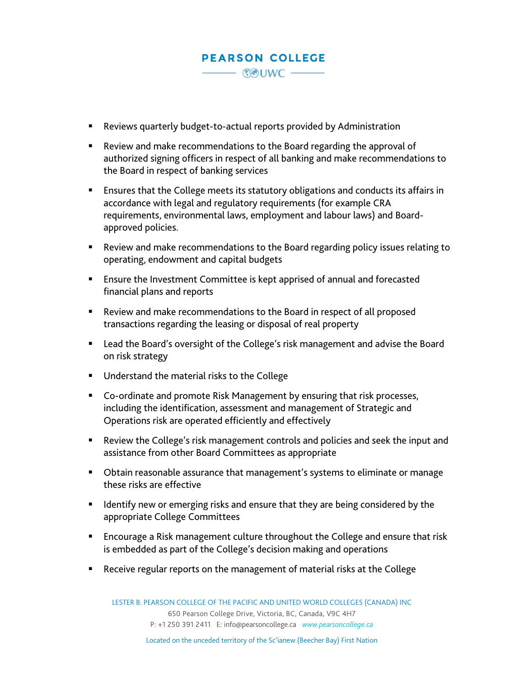- Reviews quarterly budget-to-actual reports provided by Administration
- Review and make recommendations to the Board regarding the approval of authorized signing officers in respect of all banking and make recommendations to the Board in respect of banking services
- Ensures that the College meets its statutory obligations and conducts its affairs in accordance with legal and regulatory requirements (for example CRA requirements, environmental laws, employment and labour laws) and Boardapproved policies.
- Review and make recommendations to the Board regarding policy issues relating to operating, endowment and capital budgets
- Ensure the Investment Committee is kept apprised of annual and forecasted financial plans and reports
- Review and make recommendations to the Board in respect of all proposed transactions regarding the leasing or disposal of real property
- Lead the Board's oversight of the College's risk management and advise the Board on risk strategy
- **Understand the material risks to the College**
- Co-ordinate and promote Risk Management by ensuring that risk processes, including the identification, assessment and management of Strategic and Operations risk are operated efficiently and effectively
- Review the College's risk management controls and policies and seek the input and assistance from other Board Committees as appropriate
- **D** Obtain reasonable assurance that management's systems to eliminate or manage these risks are effective
- **If all identify new or emerging risks and ensure that they are being considered by the** appropriate College Committees
- **Encourage a Risk management culture throughout the College and ensure that risk** is embedded as part of the College's decision making and operations
- Receive regular reports on the management of material risks at the College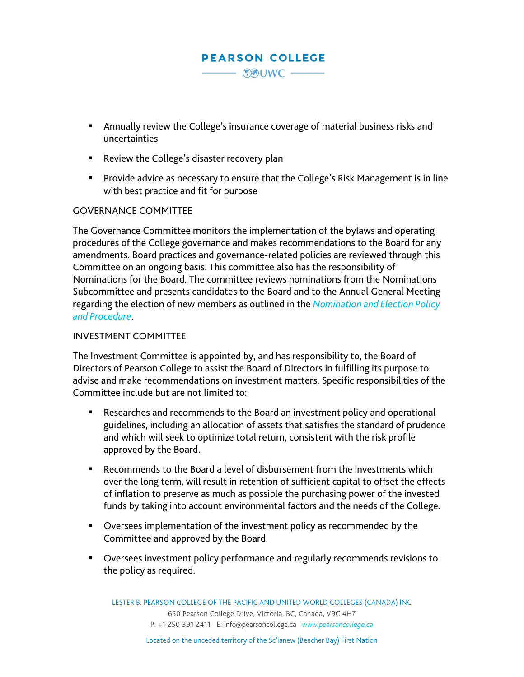- Annually review the College's insurance coverage of material business risks and uncertainties
- Review the College's disaster recovery plan
- **Provide advice as necessary to ensure that the College's Risk Management is in line** with best practice and fit for purpose

#### GOVERNANCE COMMITTEE

The Governance Committee monitors the implementation of the bylaws and operating procedures of the College governance and makes recommendations to the Board for any amendments. Board practices and governance-related policies are reviewed through this Committee on an ongoing basis. This committee also has the responsibility of Nominations for the Board. The committee reviews nominations from the Nominations Subcommittee and presents candidates to the Board and to the Annual General Meeting regarding the election of new members as outlined in the *[Nomination](https://www.pearsoncollege.ca/wp-content/uploads/2020/06/Nomination-and-Election-Policy-and-Procedure-Preamble.pdf) and Election Policy and [Procedure](https://www.pearsoncollege.ca/wp-content/uploads/2020/06/Nomination-and-Election-Policy-and-Procedure-Preamble.pdf)*.

#### INVESTMENT COMMITTEE

The Investment Committee is appointed by, and has responsibility to, the Board of Directors of Pearson College to assist the Board of Directors in fulfilling its purpose to advise and make recommendations on investment matters. Specific responsibilities of the Committee include but are not limited to:

- Researches and recommends to the Board an investment policy and operational guidelines, including an allocation of assets that satisfies the standard of prudence and which will seek to optimize total return, consistent with the risk profile approved by the Board.
- Recommends to the Board a level of disbursement from the investments which over the long term, will result in retention of sufficient capital to offset the effects of inflation to preserve as much as possible the purchasing power of the invested funds by taking into account environmental factors and the needs of the College.
- Oversees implementation of the investment policy as recommended by the Committee and approved by the Board.
- Oversees investment policy performance and regularly recommends revisions to the policy as required.

LESTER B. PEARSON COLLEGE OF THE PACIFIC AND UNITED WORLD COLLEGES (CANADA) INC 650 Pearson College Drive, Victoria, BC, Canada, V9C 4H7 P: +1 250 391 2411 E: [info@pearsoncollege.ca](mailto:info@pearsoncollege.ca) *[www.pearsoncollege.ca](http://www.pearsoncollege.ca/)*